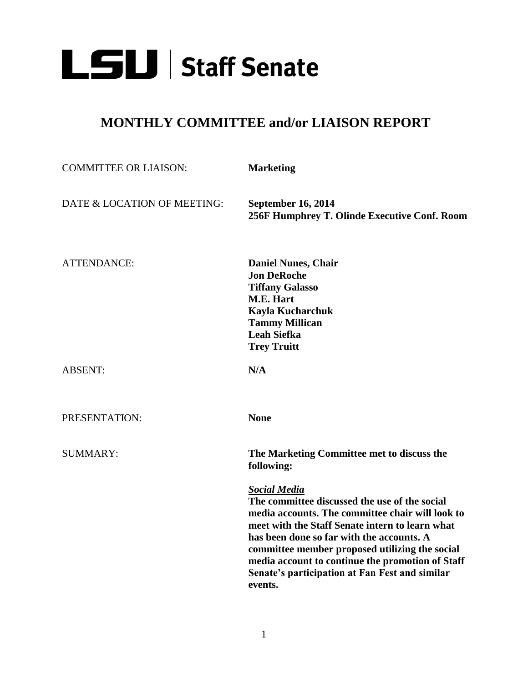

## **MONTHLY COMMITTEE and/or LIAISON REPORT**

| <b>COMMITTEE OR LIAISON:</b> | <b>Marketing</b>                                                                                                                                                                                                                                                                                                                                                                            |
|------------------------------|---------------------------------------------------------------------------------------------------------------------------------------------------------------------------------------------------------------------------------------------------------------------------------------------------------------------------------------------------------------------------------------------|
| DATE & LOCATION OF MEETING:  | September 16, 2014<br>256F Humphrey T. Olinde Executive Conf. Room                                                                                                                                                                                                                                                                                                                          |
| <b>ATTENDANCE:</b>           | <b>Daniel Nunes, Chair</b><br><b>Jon DeRoche</b><br><b>Tiffany Galasso</b><br><b>M.E. Hart</b><br>Kayla Kucharchuk<br><b>Tammy Millican</b><br><b>Leah Siefka</b><br><b>Trey Truitt</b>                                                                                                                                                                                                     |
| <b>ABSENT:</b>               | N/A                                                                                                                                                                                                                                                                                                                                                                                         |
| PRESENTATION:                | <b>None</b>                                                                                                                                                                                                                                                                                                                                                                                 |
| <b>SUMMARY:</b>              | The Marketing Committee met to discuss the<br>following:                                                                                                                                                                                                                                                                                                                                    |
|                              | <b>Social Media</b><br>The committee discussed the use of the social<br>media accounts. The committee chair will look to<br>meet with the Staff Senate intern to learn what<br>has been done so far with the accounts. A<br>committee member proposed utilizing the social<br>media account to continue the promotion of Staff<br>Senate's participation at Fan Fest and similar<br>events. |